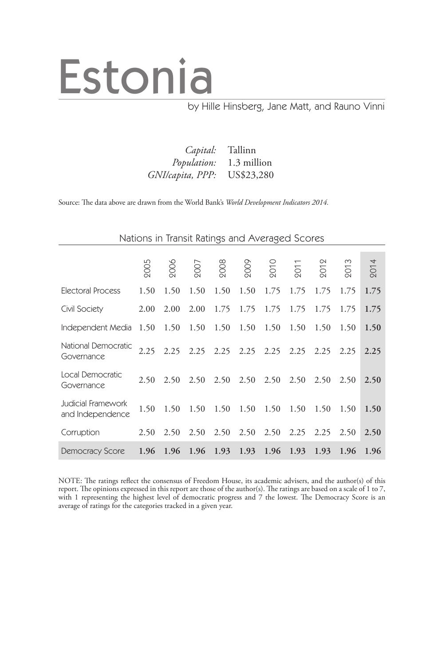# Estonia

### by Hille Hinsberg, Jane Matt, and Rauno Vinni

| <i>Capital:</i> Tallinn        |  |
|--------------------------------|--|
| <i>Population:</i> 1.3 million |  |
| GNI/capita, PPP: US\$23,280    |  |

Source: The data above are drawn from the World Bank's *World Development Indicators 2014.*

| Nations in Transit Ratings and Averaged Scores |      |               |      |           |                               |      |                |                |      |      |  |
|------------------------------------------------|------|---------------|------|-----------|-------------------------------|------|----------------|----------------|------|------|--|
|                                                | 2005 | 900s          | 2007 | 2008      | 2009                          | 2010 | $\overline{5}$ | $\overline{5}$ | 201  | 2014 |  |
| <b>Electoral Process</b>                       | 1.50 | 1.50          | 1.50 | 1.50      | 1.50                          | 1.75 | 1.75           | 1.75           | 1.75 | 1.75 |  |
| Civil Society                                  | 2.00 | 2.00          | 2.00 | 1.75      | 1.75                          | 1.75 | 1.75           | 1.75           | 1.75 | 1.75 |  |
| Independent Media                              | 1.50 | 1.50          | 1.50 | 1.50      | 1.50                          | 1.50 | 1.50           | 1.50           | 1.50 | 1.50 |  |
| National Democratic<br>Governance              |      | $2.25$ $2.25$ |      |           | 2.25 2.25 2.25 2.25           |      | 2.25           | 2.25           | 2.25 | 2.25 |  |
| Local Democratic<br>Governance                 | 2.50 | 2.50          | 2.50 |           | 2.50 2.50                     | 2.50 | 2.50           | 2.50           | 2.50 | 2.50 |  |
| Judicial Framework<br>and Independence         | 1.50 | 1.50          | 1.50 | 1.50 1.50 |                               | 1.50 | 1.50           | 1.50           | 1.50 | 1.50 |  |
| Corruption                                     | 2.50 | 2.50          | 2.50 | 2.50      | 2.50                          | 2.50 | 2.25           | 2.25           | 2.50 | 2.50 |  |
| <b>Democracy Score</b>                         |      |               |      |           | 1.96 1.96 1.96 1.93 1.93 1.96 |      | 1.93           | 1.93           | 1.96 | 1.96 |  |

NOTE: The ratings reflect the consensus of Freedom House, its academic advisers, and the author(s) of this report. The opinions expressed in this report are those of the author(s). The ratings are based on a scale of 1 to 7, with 1 representing the highest level of democratic progress and 7 the lowest. The Democracy Score is an average of ratings for the categories tracked in a given year.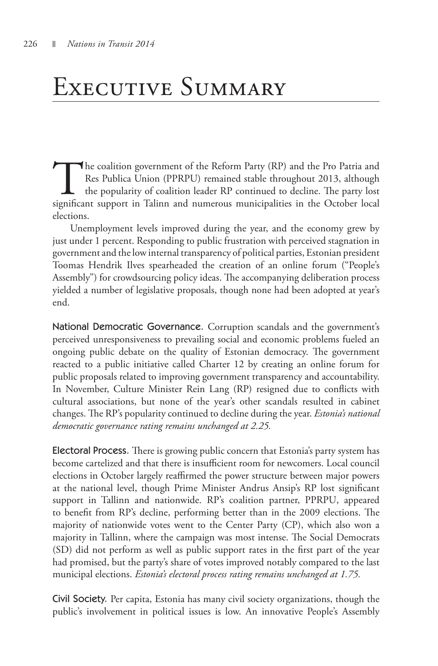### Executive Summary

The coalition government of the Reform Party (RP) and the Pro Patria and<br>Res Publica Union (PPRPU) remained stable throughout 2013, although<br>the popularity of coalition leader RP continued to decline. The party lost<br>signif Res Publica Union (PPRPU) remained stable throughout 2013, although the popularity of coalition leader RP continued to decline. The party lost significant support in Talinn and numerous municipalities in the October local elections.

Unemployment levels improved during the year, and the economy grew by just under 1 percent. Responding to public frustration with perceived stagnation in government and the low internal transparency of political parties, Estonian president Toomas Hendrik Ilves spearheaded the creation of an online forum ("People's Assembly") for crowdsourcing policy ideas. The accompanying deliberation process yielded a number of legislative proposals, though none had been adopted at year's end.

National Democratic Governance. Corruption scandals and the government's perceived unresponsiveness to prevailing social and economic problems fueled an ongoing public debate on the quality of Estonian democracy. The government reacted to a public initiative called Charter 12 by creating an online forum for public proposals related to improving government transparency and accountability. In November, Culture Minister Rein Lang (RP) resigned due to conflicts with cultural associations, but none of the year's other scandals resulted in cabinet changes. The RP's popularity continued to decline during the year. *Estonia's national democratic governance rating remains unchanged at 2.25.*

Electoral Process. There is growing public concern that Estonia's party system has become cartelized and that there is insufficient room for newcomers. Local council elections in October largely reaffirmed the power structure between major powers at the national level, though Prime Minister Andrus Ansip's RP lost significant support in Tallinn and nationwide. RP's coalition partner, PPRPU, appeared to benefit from RP's decline, performing better than in the 2009 elections. The majority of nationwide votes went to the Center Party (CP), which also won a majority in Tallinn, where the campaign was most intense. The Social Democrats (SD) did not perform as well as public support rates in the first part of the year had promised, but the party's share of votes improved notably compared to the last municipal elections. *Estonia's electoral process rating remains unchanged at 1.75.*

Civil Society. Per capita, Estonia has many civil society organizations, though the public's involvement in political issues is low. An innovative People's Assembly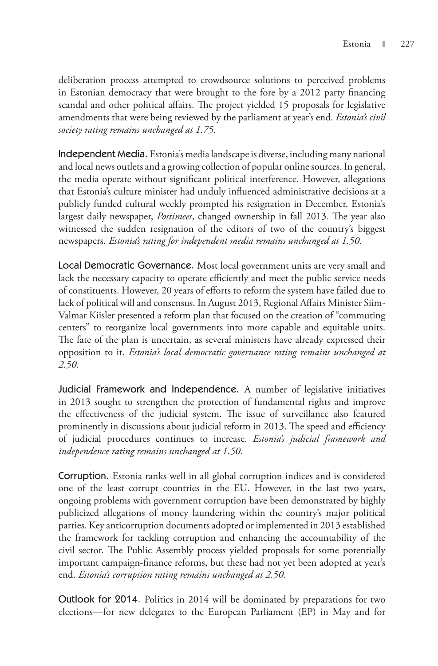deliberation process attempted to crowdsource solutions to perceived problems in Estonian democracy that were brought to the fore by a 2012 party financing scandal and other political affairs. The project yielded 15 proposals for legislative amendments that were being reviewed by the parliament at year's end. *Estonia's civil society rating remains unchanged at 1.75.*

Independent Media. Estonia's media landscape is diverse, including many national and local news outlets and a growing collection of popular online sources. In general, the media operate without significant political interference. However, allegations that Estonia's culture minister had unduly influenced administrative decisions at a publicly funded cultural weekly prompted his resignation in December. Estonia's largest daily newspaper, *Postimees*, changed ownership in fall 2013. The year also witnessed the sudden resignation of the editors of two of the country's biggest newspapers. *Estonia's rating for independent media remains unchanged at 1.50.*

Local Democratic Governance. Most local government units are very small and lack the necessary capacity to operate efficiently and meet the public service needs of constituents. However, 20 years of efforts to reform the system have failed due to lack of political will and consensus. In August 2013, Regional Affairs Minister Siim-Valmar Kiisler presented a reform plan that focused on the creation of "commuting centers" to reorganize local governments into more capable and equitable units. The fate of the plan is uncertain, as several ministers have already expressed their opposition to it. *Estonia's local democratic governance rating remains unchanged at 2.50.*

Judicial Framework and Independence. A number of legislative initiatives in 2013 sought to strengthen the protection of fundamental rights and improve the effectiveness of the judicial system. The issue of surveillance also featured prominently in discussions about judicial reform in 2013. The speed and efficiency of judicial procedures continues to increase. *Estonia's judicial framework and independence rating remains unchanged at 1.50.*

Corruption. Estonia ranks well in all global corruption indices and is considered one of the least corrupt countries in the EU. However, in the last two years, ongoing problems with government corruption have been demonstrated by highly publicized allegations of money laundering within the country's major political parties. Key anticorruption documents adopted or implemented in 2013 established the framework for tackling corruption and enhancing the accountability of the civil sector. The Public Assembly process yielded proposals for some potentially important campaign-finance reforms, but these had not yet been adopted at year's end. *Estonia's corruption rating remains unchanged at 2.50.*

Outlook for 2014. Politics in 2014 will be dominated by preparations for two elections—for new delegates to the European Parliament (EP) in May and for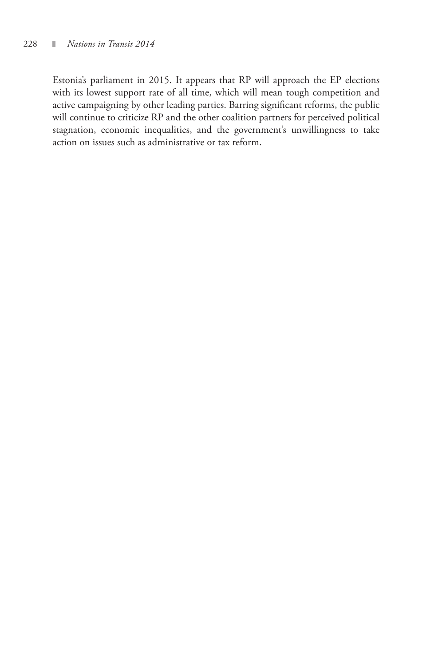Estonia's parliament in 2015. It appears that RP will approach the EP elections with its lowest support rate of all time, which will mean tough competition and active campaigning by other leading parties. Barring significant reforms, the public will continue to criticize RP and the other coalition partners for perceived political stagnation, economic inequalities, and the government's unwillingness to take action on issues such as administrative or tax reform.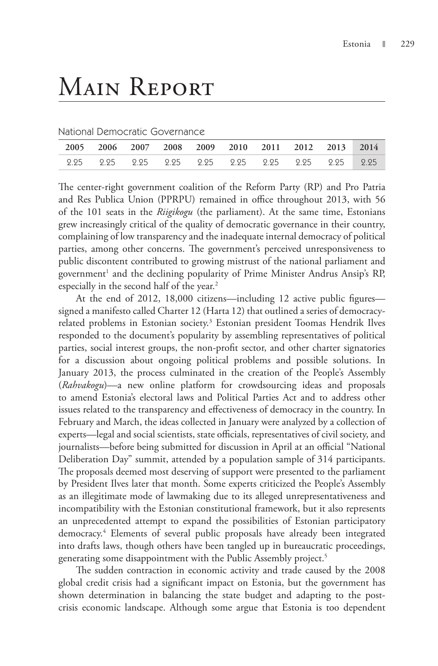## Main Report

National Democratic Governance

|  |  |  | 2005 2006 2007 2008 2009 2010 2011 2012 2013 2014 |  |
|--|--|--|---------------------------------------------------|--|
|  |  |  |                                                   |  |

The center-right government coalition of the Reform Party (RP) and Pro Patria and Res Publica Union (PPRPU) remained in office throughout 2013, with 56 of the 101 seats in the *Riigikogu* (the parliament). At the same time, Estonians grew increasingly critical of the quality of democratic governance in their country, complaining of low transparency and the inadequate internal democracy of political parties, among other concerns. The government's perceived unresponsiveness to public discontent contributed to growing mistrust of the national parliament and government<sup>1</sup> and the declining popularity of Prime Minister Andrus Ansip's RP, especially in the second half of the year.<sup>2</sup>

At the end of 2012, 18,000 citizens—including 12 active public figures signed a manifesto called Charter 12 (Harta 12) that outlined a series of democracyrelated problems in Estonian society.<sup>3</sup> Estonian president Toomas Hendrik Ilves responded to the document's popularity by assembling representatives of political parties, social interest groups, the non-profit sector, and other charter signatories for a discussion about ongoing political problems and possible solutions. In January 2013, the process culminated in the creation of the People's Assembly (*Rahvakogu*)—a new online platform for crowdsourcing ideas and proposals to amend Estonia's electoral laws and Political Parties Act and to address other issues related to the transparency and effectiveness of democracy in the country. In February and March, the ideas collected in January were analyzed by a collection of experts—legal and social scientists, state officials, representatives of civil society, and journalists—before being submitted for discussion in April at an official "National Deliberation Day" summit, attended by a population sample of 314 participants. The proposals deemed most deserving of support were presented to the parliament by President Ilves later that month. Some experts criticized the People's Assembly as an illegitimate mode of lawmaking due to its alleged unrepresentativeness and incompatibility with the Estonian constitutional framework, but it also represents an unprecedented attempt to expand the possibilities of Estonian participatory democracy.4 Elements of several public proposals have already been integrated into drafts laws, though others have been tangled up in bureaucratic proceedings, generating some disappointment with the Public Assembly project.<sup>5</sup>

The sudden contraction in economic activity and trade caused by the 2008 global credit crisis had a significant impact on Estonia, but the government has shown determination in balancing the state budget and adapting to the postcrisis economic landscape. Although some argue that Estonia is too dependent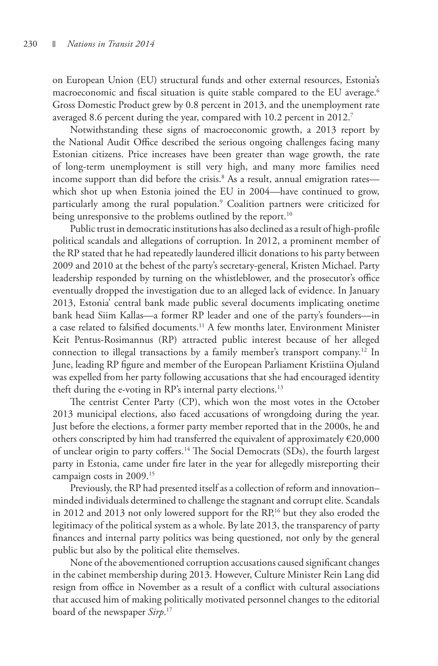on European Union (EU) structural funds and other external resources, Estonia's macroeconomic and fiscal situation is quite stable compared to the EU average.<sup>6</sup> Gross Domestic Product grew by 0.8 percent in 2013, and the unemployment rate averaged 8.6 percent during the year, compared with 10.2 percent in 2012.<sup>7</sup>

Notwithstanding these signs of macroeconomic growth, a 2013 report by the National Audit Office described the serious ongoing challenges facing many Estonian citizens. Price increases have been greater than wage growth, the rate of long-term unemployment is still very high, and many more families need income support than did before the crisis.<sup>8</sup> As a result, annual emigration rates which shot up when Estonia joined the EU in 2004—have continued to grow, particularly among the rural population.9 Coalition partners were criticized for being unresponsive to the problems outlined by the report.<sup>10</sup>

Public trust in democratic institutions has also declined as a result of high-profile political scandals and allegations of corruption. In 2012, a prominent member of the RP stated that he had repeatedly laundered illicit donations to his party between 2009 and 2010 at the behest of the party's secretary-general, Kristen Michael. Party leadership responded by turning on the whistleblower, and the prosecutor's office eventually dropped the investigation due to an alleged lack of evidence. In January 2013, Estonia' central bank made public several documents implicating onetime bank head Siim Kallas—a former RP leader and one of the party's founders—in a case related to falsified documents.<sup>11</sup> A few months later, Environment Minister Keit Pentus-Rosimannus (RP) attracted public interest because of her alleged connection to illegal transactions by a family member's transport company.12 In June, leading RP figure and member of the European Parliament Kristiina Ojuland was expelled from her party following accusations that she had encouraged identity theft during the e-voting in RP's internal party elections.<sup>13</sup>

The centrist Center Party (CP), which won the most votes in the October 2013 municipal elections, also faced accusations of wrongdoing during the year. Just before the elections, a former party member reported that in the 2000s, he and others conscripted by him had transferred the equivalent of approximately  $€20,000$ of unclear origin to party coffers.14 The Social Democrats (SDs), the fourth largest party in Estonia, came under fire later in the year for allegedly misreporting their campaign costs in 2009.15

Previously, the RP had presented itself as a collection of reform and innovation– minded individuals determined to challenge the stagnant and corrupt elite. Scandals in 2012 and 2013 not only lowered support for the RP,<sup>16</sup> but they also eroded the legitimacy of the political system as a whole. By late 2013, the transparency of party finances and internal party politics was being questioned, not only by the general public but also by the political elite themselves.

None of the abovementioned corruption accusations caused significant changes in the cabinet membership during 2013. However, Culture Minister Rein Lang did resign from office in November as a result of a conflict with cultural associations that accused him of making politically motivated personnel changes to the editorial board of the newspaper *Sirp*. 17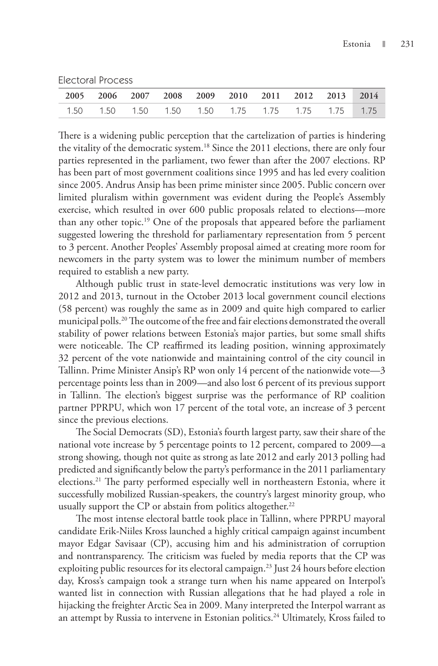Electoral Process

| 2005 2006 2007 2008 2009 2010 2011 2012 2013 2014 |  |  |  |  |  |
|---------------------------------------------------|--|--|--|--|--|
| 1.50 1.50 1.50 1.50 1.50 1.75 1.75 1.75 1.75 1.75 |  |  |  |  |  |

There is a widening public perception that the cartelization of parties is hindering the vitality of the democratic system.18 Since the 2011 elections, there are only four parties represented in the parliament, two fewer than after the 2007 elections. RP has been part of most government coalitions since 1995 and has led every coalition since 2005. Andrus Ansip has been prime minister since 2005. Public concern over limited pluralism within government was evident during the People's Assembly exercise, which resulted in over 600 public proposals related to elections—more than any other topic.19 One of the proposals that appeared before the parliament suggested lowering the threshold for parliamentary representation from 5 percent to 3 percent. Another Peoples' Assembly proposal aimed at creating more room for newcomers in the party system was to lower the minimum number of members required to establish a new party.

Although public trust in state-level democratic institutions was very low in 2012 and 2013, turnout in the October 2013 local government council elections (58 percent) was roughly the same as in 2009 and quite high compared to earlier municipal polls.20 The outcome of the free and fair elections demonstrated the overall stability of power relations between Estonia's major parties, but some small shifts were noticeable. The CP reaffirmed its leading position, winning approximately 32 percent of the vote nationwide and maintaining control of the city council in Tallinn. Prime Minister Ansip's RP won only 14 percent of the nationwide vote—3 percentage points less than in 2009—and also lost 6 percent of its previous support in Tallinn. The election's biggest surprise was the performance of RP coalition partner PPRPU, which won 17 percent of the total vote, an increase of 3 percent since the previous elections.

The Social Democrats (SD), Estonia's fourth largest party, saw their share of the national vote increase by 5 percentage points to 12 percent, compared to 2009—a strong showing, though not quite as strong as late 2012 and early 2013 polling had predicted and significantly below the party's performance in the 2011 parliamentary elections.<sup>21</sup> The party performed especially well in northeastern Estonia, where it successfully mobilized Russian-speakers, the country's largest minority group, who usually support the CP or abstain from politics altogether.<sup>22</sup>

The most intense electoral battle took place in Tallinn, where PPRPU mayoral candidate Erik-Niiles Kross launched a highly critical campaign against incumbent mayor Edgar Savisaar (CP), accusing him and his administration of corruption and nontransparency. The criticism was fueled by media reports that the CP was exploiting public resources for its electoral campaign.<sup>23</sup> Just 24 hours before election day, Kross's campaign took a strange turn when his name appeared on Interpol's wanted list in connection with Russian allegations that he had played a role in hijacking the freighter Arctic Sea in 2009. Many interpreted the Interpol warrant as an attempt by Russia to intervene in Estonian politics.<sup>24</sup> Ultimately, Kross failed to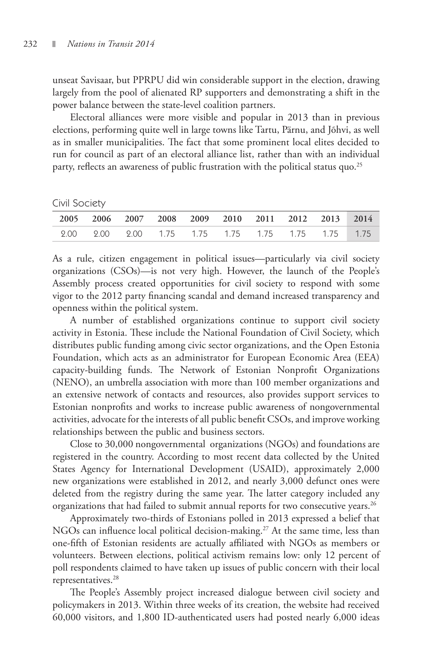unseat Savisaar, but PPRPU did win considerable support in the election, drawing largely from the pool of alienated RP supporters and demonstrating a shift in the power balance between the state-level coalition partners.

Electoral alliances were more visible and popular in 2013 than in previous elections, performing quite well in large towns like Tartu, Pärnu, and Jõhvi, as well as in smaller municipalities. The fact that some prominent local elites decided to run for council as part of an electoral alliance list, rather than with an individual party, reflects an awareness of public frustration with the political status quo.<sup>25</sup>

|  | Civil Society |
|--|---------------|
|--|---------------|

|  |  |  | 2005 2006 2007 2008 2009 2010 2011 2012 2013 2014 |  |
|--|--|--|---------------------------------------------------|--|
|  |  |  | 2.00 2.00 2.00 1.75 1.75 1.75 1.75 1.75 1.75 1.75 |  |

As a rule, citizen engagement in political issues—particularly via civil society organizations (CSOs)—is not very high. However, the launch of the People's Assembly process created opportunities for civil society to respond with some vigor to the 2012 party financing scandal and demand increased transparency and openness within the political system.

A number of established organizations continue to support civil society activity in Estonia. These include the National Foundation of Civil Society, which distributes public funding among civic sector organizations, and the Open Estonia Foundation, which acts as an administrator for European Economic Area (EEA) capacity-building funds. The Network of Estonian Nonprofit Organizations (NENO), an umbrella association with more than 100 member organizations and an extensive network of contacts and resources, also provides support services to Estonian nonprofits and works to increase public awareness of nongovernmental activities, advocate for the interests of all public benefit CSOs, and improve working relationships between the public and business sectors.

Close to 30,000 nongovernmental organizations (NGOs) and foundations are registered in the country. According to most recent data collected by the United States Agency for International Development (USAID), approximately 2,000 new organizations were established in 2012, and nearly 3,000 defunct ones were deleted from the registry during the same year. The latter category included any organizations that had failed to submit annual reports for two consecutive years.<sup>26</sup>

Approximately two-thirds of Estonians polled in 2013 expressed a belief that NGOs can influence local political decision-making.<sup>27</sup> At the same time, less than one-fifth of Estonian residents are actually affiliated with NGOs as members or volunteers. Between elections, political activism remains low: only 12 percent of poll respondents claimed to have taken up issues of public concern with their local representatives.28

The People's Assembly project increased dialogue between civil society and policymakers in 2013. Within three weeks of its creation, the website had received 60,000 visitors, and 1,800 ID-authenticated users had posted nearly 6,000 ideas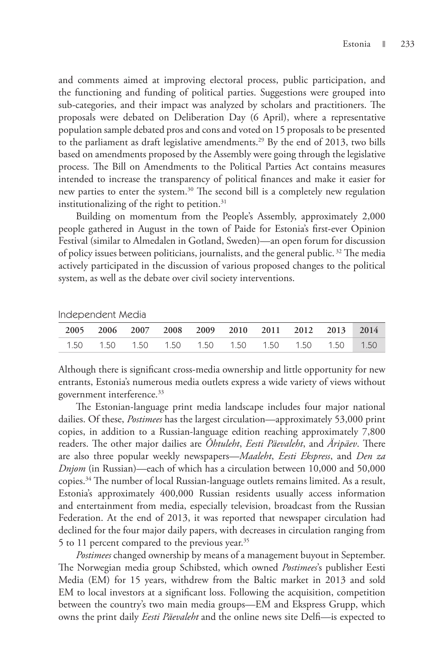and comments aimed at improving electoral process, public participation, and the functioning and funding of political parties. Suggestions were grouped into sub-categories, and their impact was analyzed by scholars and practitioners. The proposals were debated on Deliberation Day (6 April), where a representative population sample debated pros and cons and voted on 15 proposals to be presented to the parliament as draft legislative amendments.<sup>29</sup> By the end of 2013, two bills based on amendments proposed by the Assembly were going through the legislative process. The Bill on Amendments to the Political Parties Act contains measures intended to increase the transparency of political finances and make it easier for new parties to enter the system.<sup>30</sup> The second bill is a completely new regulation institutionalizing of the right to petition. $31$ 

Building on momentum from the People's Assembly, approximately 2,000 people gathered in August in the town of Paide for Estonia's first-ever Opinion Festival (similar to Almedalen in Gotland, Sweden)—an open forum for discussion of policy issues between politicians, journalists, and the general public.<sup>32</sup> The media actively participated in the discussion of various proposed changes to the political system, as well as the debate over civil society interventions.

| 2005 2006 2007 2008 2009 2010 2011 2012 2013 2014 |  |  |  |                                                      |  |
|---------------------------------------------------|--|--|--|------------------------------------------------------|--|
|                                                   |  |  |  | 1.50  1.50  1.50  1.50  1.50  1.50  1.50  1.50  1.50 |  |

Independent Media

Although there is significant cross-media ownership and little opportunity for new entrants, Estonia's numerous media outlets express a wide variety of views without government interference.<sup>33</sup>

The Estonian-language print media landscape includes four major national dailies. Of these, *Postimees* has the largest circulation—approximately 53,000 print copies, in addition to a Russian-language edition reaching approximately 7,800 readers. The other major dailies are *Õhtuleht*, *Eesti Päevaleht*, and *Äripäev*. There are also three popular weekly newspapers—*Maaleht*, *Eesti Ekspress*, and *Den za Dnjom* (in Russian)—each of which has a circulation between 10,000 and 50,000 copies.34 The number of local Russian-language outlets remains limited. As a result, Estonia's approximately 400,000 Russian residents usually access information and entertainment from media, especially television, broadcast from the Russian Federation. At the end of 2013, it was reported that newspaper circulation had declined for the four major daily papers, with decreases in circulation ranging from 5 to 11 percent compared to the previous year.35

*Postimees* changed ownership by means of a management buyout in September. The Norwegian media group Schibsted, which owned *Postimees*'s publisher Eesti Media (EM) for 15 years, withdrew from the Baltic market in 2013 and sold EM to local investors at a significant loss. Following the acquisition, competition between the country's two main media groups —EM and Ekspress Grupp, which owns the print daily *Eesti Päevaleht* and the online news site Delfi—is expected to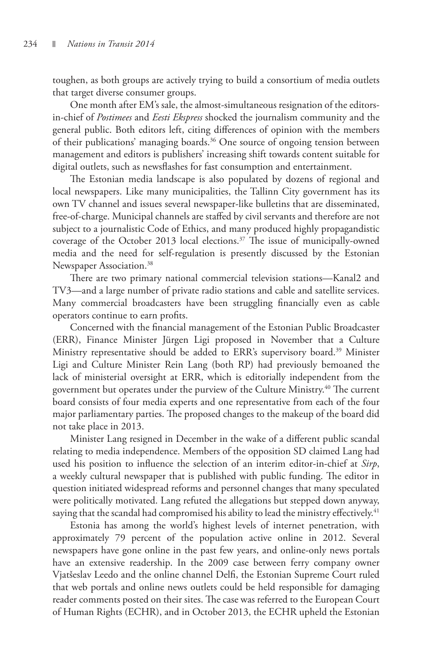toughen, as both groups are actively trying to build a consortium of media outlets that target diverse consumer groups.

One month after EM's sale, the almost-simultaneous resignation of the editorsin-chief of *Postimees* and *Eesti Ekspress* shocked the journalism community and the general public. Both editors left, citing differences of opinion with the members of their publications' managing boards.<sup>36</sup> One source of ongoing tension between management and editors is publishers' increasing shift towards content suitable for digital outlets, such as newsflashes for fast consumption and entertainment.

The Estonian media landscape is also populated by dozens of regional and local newspapers. Like many municipalities, the Tallinn City government has its own TV channel and issues several newspaper-like bulletins that are disseminated, free-of-charge. Municipal channels are staffed by civil servants and therefore are not subject to a journalistic Code of Ethics, and many produced highly propagandistic coverage of the October 2013 local elections.<sup>37</sup> The issue of municipally-owned media and the need for self-regulation is presently discussed by the Estonian Newspaper Association.<sup>38</sup>

There are two primary national commercial television stations—Kanal2 and TV3—and a large number of private radio stations and cable and satellite services. Many commercial broadcasters have been struggling financially even as cable operators continue to earn profits.

Concerned with the financial management of the Estonian Public Broadcaster (ERR), Finance Minister Jürgen Ligi proposed in November that a Culture Ministry representative should be added to ERR's supervisory board.<sup>39</sup> Minister Ligi and Culture Minister Rein Lang (both RP) had previously bemoaned the lack of ministerial oversight at ERR, which is editorially independent from the government but operates under the purview of the Culture Ministry.<sup>40</sup> The current board consists of four media experts and one representative from each of the four major parliamentary parties. The proposed changes to the makeup of the board did not take place in 2013.

Minister Lang resigned in December in the wake of a different public scandal relating to media independence. Members of the opposition SD claimed Lang had used his position to influence the selection of an interim editor-in-chief at *Sirp*, a weekly cultural newspaper that is published with public funding. The editor in question initiated widespread reforms and personnel changes that many speculated were politically motivated. Lang refuted the allegations but stepped down anyway, saying that the scandal had compromised his ability to lead the ministry effectively.<sup>41</sup>

Estonia has among the world's highest levels of internet penetration, with approximately 79 percent of the population active online in 2012. Several newspapers have gone online in the past few years, and online-only news portals have an extensive readership. In the 2009 case between ferry company owner Vjatšeslav Leedo and the online channel Delfi, the Estonian Supreme Court ruled that web portals and online news outlets could be held responsible for damaging reader comments posted on their sites. The case was referred to the European Court of Human Rights (ECHR), and in October 2013, the ECHR upheld the Estonian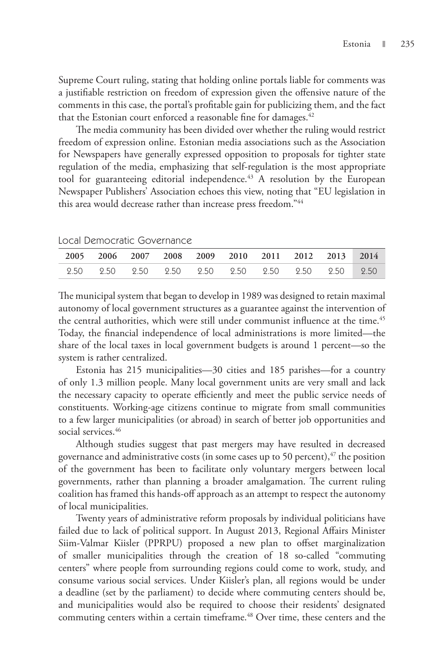Supreme Court ruling, stating that holding online portals liable for comments was a justifiable restriction on freedom of expression given the offensive nature of the comments in this case, the portal's profitable gain for publicizing them, and the fact that the Estonian court enforced a reasonable fine for damages. $42$ 

The media community has been divided over whether the ruling would restrict freedom of expression online. Estonian media associations such as the Association for Newspapers have generally expressed opposition to proposals for tighter state regulation of the media, emphasizing that self-regulation is the most appropriate tool for guaranteeing editorial independence.<sup>43</sup> A resolution by the European Newspaper Publishers' Association echoes this view, noting that "EU legislation in this area would decrease rather than increase press freedom."44

|  |  |  | 2005 2006 2007 2008 2009 2010 2011 2012 2013 2014 |  |
|--|--|--|---------------------------------------------------|--|
|  |  |  |                                                   |  |
|  |  |  |                                                   |  |

Local Democratic Governance

The municipal system that began to develop in 1989 was designed to retain maximal autonomy of local government structures as a guarantee against the intervention of the central authorities, which were still under communist influence at the time.<sup>45</sup> Today, the financial independence of local administrations is more limited—the share of the local taxes in local government budgets is around 1 percent—so the system is rather centralized.

Estonia has 215 municipalities—30 cities and 185 parishes—for a country of only 1.3 million people. Many local government units are very small and lack the necessary capacity to operate efficiently and meet the public service needs of constituents. Working-age citizens continue to migrate from small communities to a few larger municipalities (or abroad) in search of better job opportunities and social services.<sup>46</sup>

Although studies suggest that past mergers may have resulted in decreased governance and administrative costs (in some cases up to 50 percent),  $47$  the position of the government has been to facilitate only voluntary mergers between local governments, rather than planning a broader amalgamation. The current ruling coalition has framed this hands-off approach as an attempt to respect the autonomy of local municipalities.

Twenty years of administrative reform proposals by individual politicians have failed due to lack of political support. In August 2013, Regional Affairs Minister Siim-Valmar Kiisler (PPRPU) proposed a new plan to offset marginalization of smaller municipalities through the creation of 18 so-called "commuting centers" where people from surrounding regions could come to work, study, and consume various social services. Under Kiisler's plan, all regions would be under a deadline (set by the parliament) to decide where commuting centers should be, and municipalities would also be required to choose their residents' designated commuting centers within a certain timeframe.<sup>48</sup> Over time, these centers and the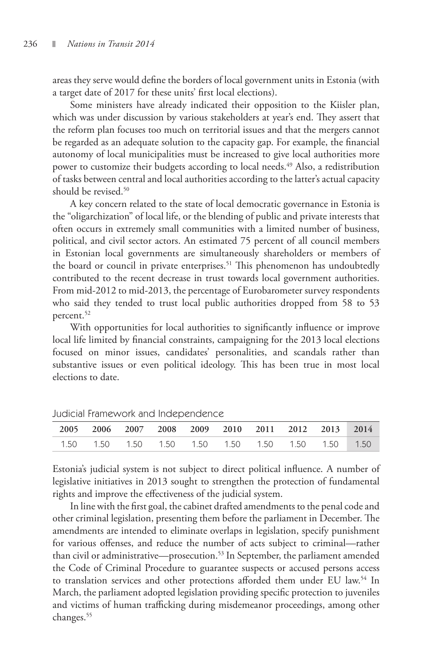areas they serve would define the borders of local government units in Estonia (with a target date of 2017 for these units' first local elections).

Some ministers have already indicated their opposition to the Kiisler plan, which was under discussion by various stakeholders at year's end. They assert that the reform plan focuses too much on territorial issues and that the mergers cannot be regarded as an adequate solution to the capacity gap. For example, the financial autonomy of local municipalities must be increased to give local authorities more power to customize their budgets according to local needs.<sup>49</sup> Also, a redistribution of tasks between central and local authorities according to the latter's actual capacity should be revised.<sup>50</sup>

A key concern related to the state of local democratic governance in Estonia is the "oligarchization" of local life, or the blending of public and private interests that often occurs in extremely small communities with a limited number of business, political, and civil sector actors. An estimated 75 percent of all council members in Estonian local governments are simultaneously shareholders or members of the board or council in private enterprises.<sup>51</sup> This phenomenon has undoubtedly contributed to the recent decrease in trust towards local government authorities. From mid-2012 to mid-2013, the percentage of Eurobarometer survey respondents who said they tended to trust local public authorities dropped from 58 to 53 percent.<sup>52</sup>

With opportunities for local authorities to significantly influence or improve local life limited by financial constraints, campaigning for the 2013 local elections focused on minor issues, candidates' personalities, and scandals rather than substantive issues or even political ideology. This has been true in most local elections to date.

|  |  |  | 2005 2006 2007 2008 2009 2010 2011 2012 2013 2014 |  |
|--|--|--|---------------------------------------------------|--|
|  |  |  |                                                   |  |

Judicial Framework and Independence

Estonia's judicial system is not subject to direct political influence. A number of legislative initiatives in 2013 sought to strengthen the protection of fundamental rights and improve the effectiveness of the judicial system.

In line with the first goal, the cabinet drafted amendments to the penal code and other criminal legislation, presenting them before the parliament in December. The amendments are intended to eliminate overlaps in legislation, specify punishment for various offenses, and reduce the number of acts subject to criminal—rather than civil or administrative—prosecution.<sup>53</sup> In September, the parliament amended the Code of Criminal Procedure to guarantee suspects or accused persons access to translation services and other protections afforded them under EU law.<sup>54</sup> In March, the parliament adopted legislation providing specific protection to juveniles and victims of human trafficking during misdemeanor proceedings, among other changes.<sup>55</sup>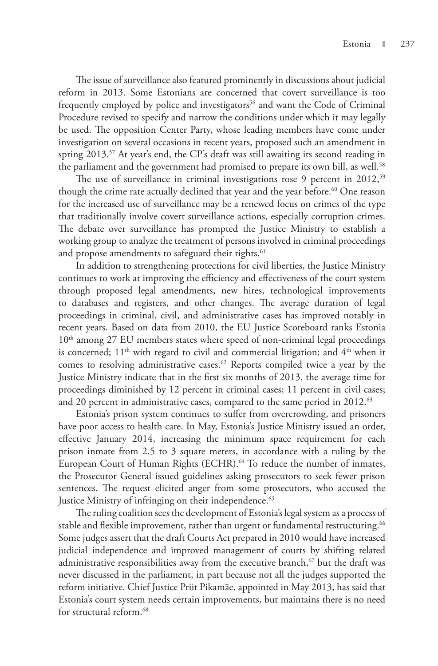The issue of surveillance also featured prominently in discussions about judicial reform in 2013. Some Estonians are concerned that covert surveillance is too frequently employed by police and investigators<sup>56</sup> and want the Code of Criminal Procedure revised to specify and narrow the conditions under which it may legally be used. The opposition Center Party, whose leading members have come under investigation on several occasions in recent years, proposed such an amendment in spring 2013.<sup>57</sup> At year's end, the CP's draft was still awaiting its second reading in the parliament and the government had promised to prepare its own bill, as well.<sup>58</sup>

The use of surveillance in criminal investigations rose 9 percent in 2012,<sup>59</sup> though the crime rate actually declined that year and the year before.<sup>60</sup> One reason for the increased use of surveillance may be a renewed focus on crimes of the type that traditionally involve covert surveillance actions, especially corruption crimes. The debate over surveillance has prompted the Justice Ministry to establish a working group to analyze the treatment of persons involved in criminal proceedings and propose amendments to safeguard their rights.<sup>61</sup>

In addition to strengthening protections for civil liberties, the Justice Ministry continues to work at improving the efficiency and effectiveness of the court system through proposed legal amendments, new hires, technological improvements to databases and registers, and other changes. The average duration of legal proceedings in criminal, civil, and administrative cases has improved notably in recent years. Based on data from 2010, the EU Justice Scoreboard ranks Estonia 10<sup>th</sup> among 27 EU members states where speed of non-criminal legal proceedings is concerned;  $11<sup>th</sup>$  with regard to civil and commercial litigation; and  $4<sup>th</sup>$  when it comes to resolving administrative cases.<sup>62</sup> Reports compiled twice a year by the Justice Ministry indicate that in the first six months of 2013, the average time for proceedings diminished by 12 percent in criminal cases; 11 percent in civil cases; and 20 percent in administrative cases, compared to the same period in 2012.<sup>63</sup>

Estonia's prison system continues to suffer from overcrowding, and prisoners have poor access to health care. In May, Estonia's Justice Ministry issued an order, effective January 2014, increasing the minimum space requirement for each prison inmate from 2.5 to 3 square meters, in accordance with a ruling by the European Court of Human Rights (ECHR).<sup>64</sup> To reduce the number of inmates, the Prosecutor General issued guidelines asking prosecutors to seek fewer prison sentences. The request elicited anger from some prosecutors, who accused the Justice Ministry of infringing on their independence.<sup>65</sup>

The ruling coalition sees the development of Estonia's legal system as a process of stable and flexible improvement, rather than urgent or fundamental restructuring. $^{66}$ Some judges assert that the draft Courts Act prepared in 2010 would have increased judicial independence and improved management of courts by shifting related administrative responsibilities away from the executive branch, $67$  but the draft was never discussed in the parliament, in part because not all the judges supported the reform initiative. Chief Justice Priit Pikamäe, appointed in May 2013, has said that Estonia's court system needs certain improvements, but maintains there is no need for structural reform.<sup>68</sup>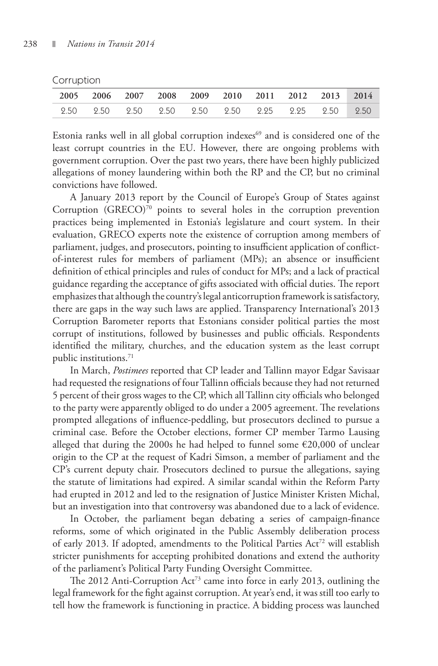Corruption

|  |  |  | 2005 2006 2007 2008 2009 2010 2011 2012 2013 2014 |  |
|--|--|--|---------------------------------------------------|--|
|  |  |  |                                                   |  |

Estonia ranks well in all global corruption indexes<sup>69</sup> and is considered one of the least corrupt countries in the EU. However, there are ongoing problems with government corruption. Over the past two years, there have been highly publicized allegations of money laundering within both the RP and the CP, but no criminal convictions have followed.

A January 2013 report by the Council of Europe's Group of States against Corruption (GRECO)<sup>70</sup> points to several holes in the corruption prevention practices being implemented in Estonia's legislature and court system. In their evaluation, GRECO experts note the existence of corruption among members of parliament, judges, and prosecutors, pointing to insufficient application of conflictof-interest rules for members of parliament (MPs); an absence or insufficient definition of ethical principles and rules of conduct for MPs; and a lack of practical guidance regarding the acceptance of gifts associated with official duties. The report emphasizes that although the country's legal anticorruption framework is satisfactory, there are gaps in the way such laws are applied. Transparency International's 2013 Corruption Barometer reports that Estonians consider political parties the most corrupt of institutions, followed by businesses and public officials. Respondents identified the military, churches, and the education system as the least corrupt public institutions.<sup>71</sup>

In March, *Postimees* reported that CP leader and Tallinn mayor Edgar Savisaar had requested the resignations of four Tallinn officials because they had not returned 5 percent of their gross wages to the CP, which all Tallinn city officials who belonged to the party were apparently obliged to do under a 2005 agreement. The revelations prompted allegations of influence-peddling, but prosecutors declined to pursue a criminal case. Before the October elections, former CP member Tarmo Lausing alleged that during the 2000s he had helped to funnel some €20,000 of unclear origin to the CP at the request of Kadri Simson, a member of parliament and the CP's current deputy chair. Prosecutors declined to pursue the allegations, saying the statute of limitations had expired. A similar scandal within the Reform Party had erupted in 2012 and led to the resignation of Justice Minister Kristen Michal, but an investigation into that controversy was abandoned due to a lack of evidence.

In October, the parliament began debating a series of campaign-finance reforms, some of which originated in the Public Assembly deliberation process of early 2013. If adopted, amendments to the Political Parties Act<sup>72</sup> will establish stricter punishments for accepting prohibited donations and extend the authority of the parliament's Political Party Funding Oversight Committee.

The 2012 Anti-Corruption  $Act^{73}$  came into force in early 2013, outlining the legal framework for the fight against corruption. At year's end, it was still too early to tell how the framework is functioning in practice. A bidding process was launched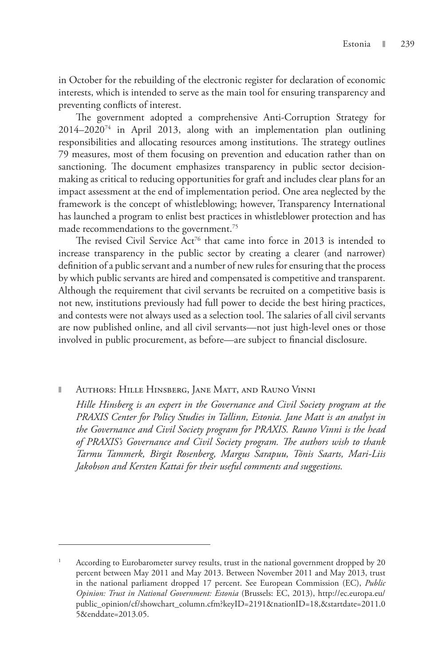in October for the rebuilding of the electronic register for declaration of economic interests, which is intended to serve as the main tool for ensuring transparency and preventing conflicts of interest.

The government adopted a comprehensive Anti-Corruption Strategy for 2014–202074 in April 2013, along with an implementation plan outlining responsibilities and allocating resources among institutions. The strategy outlines 79 measures, most of them focusing on prevention and education rather than on sanctioning. The document emphasizes transparency in public sector decisionmaking as critical to reducing opportunities for graft and includes clear plans for an impact assessment at the end of implementation period. One area neglected by the framework is the concept of whistleblowing; however, Transparency International has launched a program to enlist best practices in whistleblower protection and has made recommendations to the government.<sup>75</sup>

The revised Civil Service Act<sup>76</sup> that came into force in 2013 is intended to increase transparency in the public sector by creating a clearer (and narrower) definition of a public servant and a number of new rules for ensuring that the process by which public servants are hired and compensated is competitive and transparent. Although the requirement that civil servants be recruited on a competitive basis is not new, institutions previously had full power to decide the best hiring practices, and contests were not always used as a selection tool. The salaries of all civil servants are now published online, and all civil servants—not just high-level ones or those involved in public procurement, as before—are subject to financial disclosure.

### Authors: Hille Hinsberg, Jane Matt, and Rauno Vinni

*Hille Hinsberg is an expert in the Governance and Civil Society program at the PRAXIS Center for Policy Studies in Tallinn, Estonia. Jane Matt is an analyst in the Governance and Civil Society program for PRAXIS. Rauno Vinni is the head of PRAXIS's Governance and Civil Society program. The authors wish to thank Tarmu Tammerk, Birgit Rosenberg, Margus Sarapuu, Tõnis Saarts, Mari-Liis Jakobson and Kersten Kattai for their useful comments and suggestions.*

<sup>1</sup> According to Eurobarometer survey results, trust in the national government dropped by 20 percent between May 2011 and May 2013. Between November 2011 and May 2013, trust in the national parliament dropped 17 percent. See European Commission (EC), *Public Opinion: Trust in National Government: Estonia* (Brussels: EC, 2013), http://ec.europa.eu/ public\_opinion/cf/showchart\_column.cfm?keyID=2191&nationID=18,&startdate=2011.0 5&enddate=2013.05.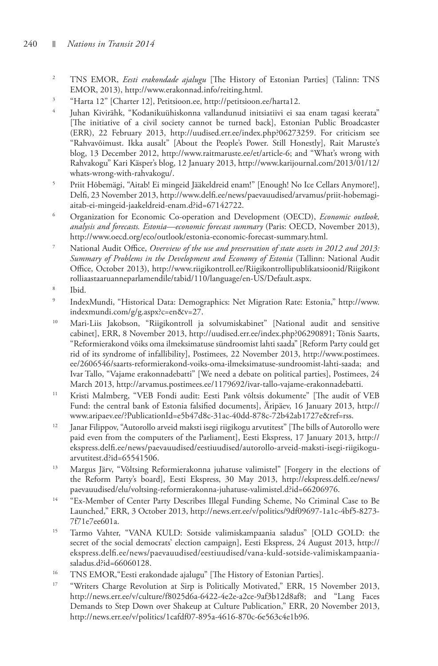- 2 TNS EMOR, *Eesti erakondade ajalugu* [The History of Estonian Parties] (Talinn: TNS EMOR, 2013), http://www.erakonnad.info/reiting.html.<br><sup>3</sup> Harta 12<sup>"</sup> [Charter 12] Peritsioon ee http://peritsioon.
- "Harta 12" [Charter 12], Petitsioon.ee, http://petitsioon.ee/harta12.
- 4 Juhan Kivirähk, "Kodanikuühiskonna vallandunud initsiatiivi ei saa enam tagasi keerata" [The initiative of a civil society cannot be turned back], Estonian Public Broadcaster (ERR), 22 February 2013, http://uudised.err.ee/index.php?06273259. For criticism see "Rahvavõimust. Ikka ausalt" [About the People's Power. Still Honestly], Rait Maruste's blog, 13 December 2012, http://www.raitmaruste.ee/et/article-6; and "What's wrong with Rahvakogu" Kari Käsper's blog, 12 January 2013, http://www.karijournal.com/2013/01/12/ whats-wrong-with-rahvakogu/.<br><sup>5</sup> Priit Hóbemägi "Aitabl Fi min
- Priit Hõbemägi, "Aitab! Ei mingeid Jääkeldreid enam!" [Enough! No Ice Cellars Anymore!], Delfi, 23 November 2013, http://www.delfi.ee/news/paevauudised/arvamus/priit-hobemagi-
- aitab-ei-mingeid-jaakeldreid-enam.d?id=67142722. 6 Organization for Economic Co-operation and Development (OECD), *Economic outlook, analysis and forecasts. Estonia—economic forecast summary* (Paris: OECD, November 2013),
- http://www.oecd.org/eco/outlook/estonia-economic-forecast-summary.html. 7 National Audit Office, *Overview of the use and preservation of state assets in 2012 and 2013: Summary of Problems in the Development and Economy of Estonia* (Tallinn: National Audit Office, October 2013), http://www.riigikontroll.ee/Riigikontrollipublikatsioonid/Riigikont rolliaastaaruanneparlamendile/tabid/110/language/en-US/Default.aspx. 8
- Ibid.
- 9 IndexMundi, "Historical Data: Demographics: Net Migration Rate: Estonia," http://www.
- indexmundi.com/g/g.aspx?c=en&v=27. 10 Mari-Liis Jakobson, "Riigikontroll ja solvumiskabinet" [National audit and sensitive cabinet], ERR, 8 November 2013, http://uudised.err.ee/index.php?06290891; Tõnis Saarts, "Reformierakond võiks oma ilmeksimatuse sündroomist lahti saada" [Reform Party could get rid of its syndrome of infallibility], Postimees, 22 November 2013, http://www.postimees. ee/2606546/saarts-reformierakond-voiks-oma-ilmeksimatuse-sundroomist-lahti-saada; and Ivar Tallo, "Vajame erakonnadebatti" [We need a debate on political parties], Postimees, 24
- <sup>11</sup> Kristi Malmberg, "VEB Fondi audit: Eesti Pank võltsis dokumente" [The audit of VEB Fund: the central bank of Estonia falsified documents], Äripäev, 16 January 2013, http://
- <sup>12</sup> Janar Filippov, "Autorollo arveid maksti isegi riigikogu arvutitest" [The bills of Autorollo were paid even from the computers of the Parliament], Eesti Ekspress, 17 January 2013, http:// ekspress.delfi.ee/news/paevauudised/eestiuudised/autorollo-arveid-maksti-isegi-riigikogu-
- arvutitest.d?id=65541506.<br><sup>13</sup> Margus Järv, "Võltsing Reformierakonna juhatuse valimistel" [Forgery in the elections of the Reform Party's board], Eesti Ekspress, 30 May 2013, http://ekspress.delfi.ee/news/<br>paevauudised/elu/voltsing-reformierakonna-juhatuse-valimistel.d?id=66206976.
- <sup>14</sup> "Ex-Member of Center Party Describes Illegal Funding Scheme, No Criminal Case to Be Launched," ERR, 3 October 2013, http://news.err.ee/v/politics/9df09697-1a1c-4bf5-8273-
- 7f71e7ee601a. 15 Tarmo Vahter, "VANA KULD: Sotside valimiskampaania saladus" [OLD GOLD: the secret of the social democrats' election campaign], Eesti Ekspress, 24 August 2013, http:// ekspress.delfi.ee/news/paevauudised/eestiuudised/vana-kuld-sotside-valimiskampaaniasaladus.d?id=66060128.
- <sup>16</sup> TNS EMOR, "Eesti erakondade ajalugu" [The History of Estonian Parties].
- <sup>17</sup> "Writers Charge Revolution at Sirp is Politically Motivated," ERR, 15 November 2013, http://news.err.ee/v/culture/f8025d6a-6422-4e2e-a2ce-9af3b12d8af8; and "Lang Faces Demands to Step Down over Shakeup at Culture Publication," ERR, 20 November 2013, http://news.err.ee/v/politics/1cafdf07-895a-4616-870c-6e563c4e1b96.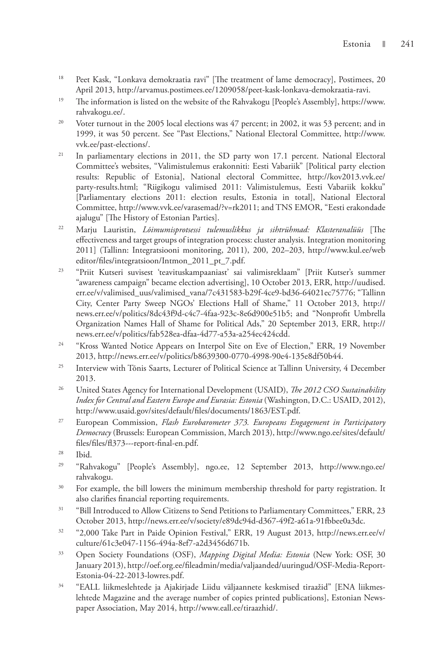- <sup>18</sup> Peet Kask, "Lonkava demokraatia ravi" [The treatment of lame democracy], Postimees, 20 April 2013, http://arvamus.postimees.ee/1209058/peet-kask-lonkava-demokraatia-ravi.
- <sup>19</sup> The information is listed on the website of the Rahvakogu [People's Assembly], https://www. rahvakogu.ee/.
- <sup>20</sup> Voter turnout in the 2005 local elections was 47 percent; in 2002, it was 53 percent; and in 1999, it was 50 percent. See "Past Elections," National Electoral Committee, http://www. vvk.ee/past-elections/.
- <sup>21</sup> In parliamentary elections in 2011, the SD party won 17.1 percent. National Electoral Committee's websites, "Valimistulemus erakonniti: Eesti Vabariik" [Political party election results: Republic of Estonia], National electoral Committee, http://kov2013.vvk.ee/ party-results.html; "Riigikogu valimised 2011: Valimistulemus, Eesti Vabariik kokku" [Parliamentary elections 2011: election results, Estonia in total], National Electoral Committee, http://www.vvk.ee/varasemad/?v=rk2011; and TNS EMOR, "Eesti erakondade ajalugu" [The History of Estonian Parties].
- 22 Marju Lauristin, *Lõimumisprotsessi tulemuslikkus ja sihtrühmad: Klasteranalüüs* [The effectiveness and target groups of integration process: cluster analysis. Integration monitoring 2011] (Tallinn: Integratsiooni monitoring, 2011), 200, 202–203, http://www.kul.ee/web editor/files/integratsioon/Intmon\_2011\_pt\_7.pdf.
- 23 "Priit Kutseri suvisest 'teavituskampaaniast' sai valimisreklaam" [Priit Kutser's summer "awareness campaign" became election advertising], 10 October 2013, ERR, http://uudised. err.ee/v/valimised\_uus/valimised\_vana/7c431583-b29f-4ce9-bd36-64021ec75776; "Tallinn City, Center Party Sweep NGOs' Elections Hall of Shame," 11 October 2013, http:// news.err.ee/v/politics/8dc43f9d-c4c7-4faa-923c-8e6d900e51b5; and "Nonprofit Umbrella Organization Names Hall of Shame for Political Ads," 20 September 2013, ERR, http:// news.err.ee/v/politics/fab528ea-dfaa-4d77-a53a-a254ec424cdd.
- <sup>24</sup> "Kross Wanted Notice Appears on Interpol Site on Eve of Election," ERR, 19 November 2013, http://news.err.ee/v/politics/b8639300-0770-4998-90e4-135e8df50b44.
- <sup>25</sup> Interview with Tõnis Saarts, Lecturer of Political Science at Tallinn University, 4 December 2013.
- 26 United States Agency for International Development (USAID), *The 2012 CSO Sustainability Index for Central and Eastern Europe and Eurasia: Estonia* (Washington, D.C.: USAID, 2012), http://www.usaid.gov/sites/default/files/documents/1863/EST.pdf.
- 27 European Commission, *Flash Eurobarometer 373. Europeans Engagement in Participatory Democracy* (Brussels: European Commission, March 2013), http://www.ngo.ee/sites/default/ files/files/fl373---report-final-en.pdf.
- 28 Ibid.
- <sup>29</sup> "Rahvakogu" [People's Assembly], ngo.ee, 12 September 2013, http://www.ngo.ee/ rahvakogu.
- <sup>30</sup> For example, the bill lowers the minimum membership threshold for party registration. It also clarifies financial reporting requirements.
- <sup>31</sup> "Bill Introduced to Allow Citizens to Send Petitions to Parliamentary Committees," ERR, 23 October 2013, http://news.err.ee/v/society/e89dc94d-d367-49f2-a61a-91fbbee0a3dc.
- 32 "2,000 Take Part in Paide Opinion Festival," ERR, 19 August 2013, http://news.err.ee/v/ culture/61c3e047-1156-494a-8ef7-a2d3456d671b.
- 33 Open Society Foundations (OSF), *Mapping Digital Media: Estonia* (New York: OSF, 30 January 2013), http://oef.org.ee/fileadmin/media/valjaanded/uuringud/OSF-Media-Report-Estonia-04-22-2013-lowres.pdf.
- 34 "EALL liikmeslehtede ja Ajakirjade Liidu väljaannete keskmised tiraažid" [ENA liikmeslehtede Magazine and the average number of copies printed publications], Estonian Newspaper Association, May 2014, http://www.eall.ee/tiraazhid/.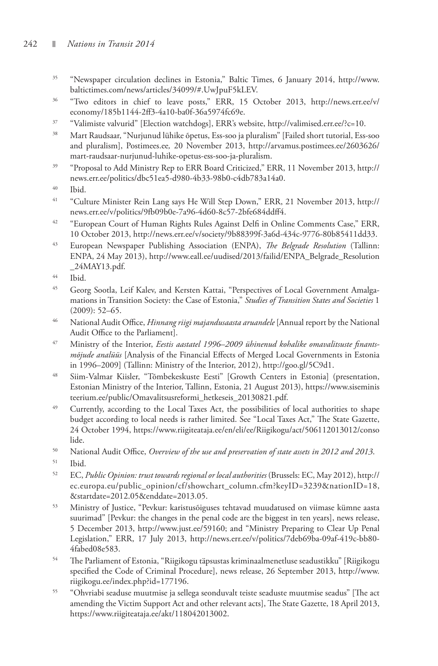- 35 "Newspaper circulation declines in Estonia," Baltic Times, 6 January 2014, http://www. baltictimes.com/news/articles/34099/#.UwJpuF5kLEV.
- 36 "Two editors in chief to leave posts," ERR, 15 October 2013, http://news.err.ee/v/ economy/185b1144-2ff3-4a10-ba0f-36a5974fc69e.
- $37$  "Valimiste valvurid" [Election watchdogs], ERR's website, http://valimised.err.ee/?c=10.<br> $38$  Mart Paudeaer "Nurjunud lijkika õpetus. Ees soo ja pluralism" [Failed short tutorial. Ees
- 38 Mart Raudsaar, "Nurjunud lühike õpetus, Ess-soo ja pluralism" [Failed short tutorial, Ess-soo and pluralism], Postimees.ee*,* 20 November 2013, http://arvamus.postimees.ee/2603626/ mart-raudsaar-nurjunud-luhike-opetus-ess-soo-ja-pluralism.
- <sup>39</sup> "Proposal to Add Ministry Rep to ERR Board Criticized," ERR, 11 November 2013, http:// news.err.ee/politics/dbc51ea5-d980-4b33-98b0-c4db783a14a0.
- 40 Ibid.
- 41 "Culture Minister Rein Lang says He Will Step Down," ERR, 21 November 2013, http:// news.err.ee/v/politics/9fb09b0e-7a96-4d60-8c57-2bfe684ddff4.
- <sup>42</sup> "European Court of Human Rights Rules Against Delfi in Online Comments Case," ERR, 10 October 2013, http://news.err.ee/v/society/9b88399f-3a6d-434c-9776-80b85411dd33.
- 43 European Newspaper Publishing Association (ENPA), *The Belgrade Resolution* (Tallinn: ENPA, 24 May 2013), http://www.eall.ee/uudised/2013/failid/ENPA\_Belgrade\_Resolution \_24MAY13.pdf.
- 44 Ibid.
- 45 Georg Sootla, Leif Kalev, and Kersten Kattai, "Perspectives of Local Government Amalgamations in Transition Society: the Case of Estonia," *Studies of Transition States and Societies* 1 (2009): 52–65.
- 46 National Audit Office, *Hinnang riigi majandusaasta aruandele* [Annual report by the National Audit Office to the Parliament].
- 47 Ministry of the Interior, *Eestis aastatel 1996–2009 ühinenud kohalike omavalitsuste finantsmõjude analüüs* [Analysis of the Financial Effects of Merged Local Governments in Estonia in 1996–2009] (Tallinn: Ministry of the Interior, 2012), http://goo.gl/5C9d1.
- 48 Siim-Valmar Kiisler, "Tõmbekeskuste Eesti" [Growth Centers in Estonia] (presentation, Estonian Ministry of the Interior, Tallinn, Estonia, 21 August 2013), https://www.siseminis teerium.ee/public/Omavalitsusreformi\_hetkeseis\_20130821.pdf.
- <sup>49</sup> Currently, according to the Local Taxes Act, the possibilities of local authorities to shape budget according to local needs is rather limited. See "Local Taxes Act," The State Gazette, 24 October 1994, https://www.riigiteataja.ee/en/eli/ee/Riigikogu/act/506112013012/conso lide.
- 50 National Audit Office, *Overview of the use and preservation of state assets in 2012 and 2013*.
- 51 Ibid.
- 52 EC, *Public Opinion: trust towards regional or local authorities* (Brussels: EC, May 2012), http:// ec.europa.eu/public\_opinion/cf/showchart\_column.cfm?keyID=3239&nationID=18, &startdate=2012.05&enddate=2013.05.
- 53 Ministry of Justice, "Pevkur: karistusõiguses tehtavad muudatused on viimase kümne aasta suurimad" [Pevkur: the changes in the penal code are the biggest in ten years], news release, 5 December 2013, http://www.just.ee/59160; and "Ministry Preparing to Clear Up Penal Legislation," ERR, 17 July 2013, http://news.err.ee/v/politics/7deb69ba-09af-419c-bb80- 4fabed08e583.
- 54 The Parliament of Estonia, "Riigikogu täpsustas kriminaalmenetluse seadustikku" [Riigikogu specified the Code of Criminal Procedure], news release, 26 September 2013, http://www. riigikogu.ee/index.php?id=177196.
- 55 "Ohvriabi seaduse muutmise ja sellega seonduvalt teiste seaduste muutmise seadus" [The act amending the Victim Support Act and other relevant acts], The State Gazette, 18 April 2013, https://www.riigiteataja.ee/akt/118042013002.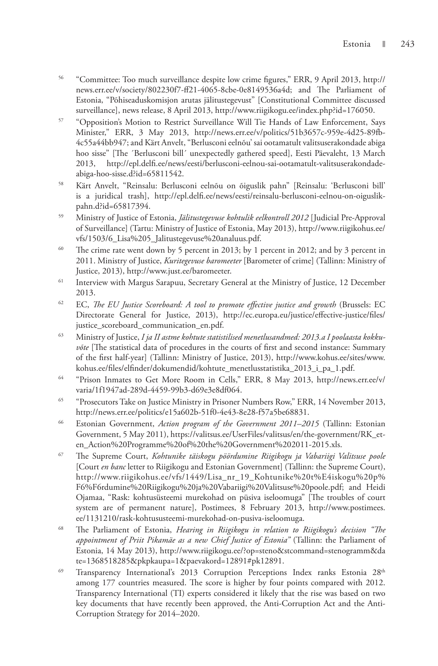- 56 "Committee: Too much surveillance despite low crime figures," ERR, 9 April 2013, http:// news.err.ee/v/society/802230f7-ff21-4065-8cbe-0e8149536a4d; and The Parliament of Estonia, "Põhiseaduskomisjon arutas jälitustegevust" [Constitutional Committee discussed surveillance], news release, 8 April 2013, http://www.riigikogu.ee/index.php?id=176050.
- 57 "Opposition's Motion to Restrict Surveillance Will Tie Hands of Law Enforcement, Says Minister," ERR, 3 May 2013, http://news.err.ee/v/politics/51b3657c-959e-4d25-89fb-4c55a44bb947; and Kärt Anvelt, "Berlusconi eelnõu' sai ootamatult valitsuserakondade abiga hoo sisse" [The ´Berlusconi bill´ unexpectedly gathered speed], Eesti Päevaleht, 13 March 2013, http://epl.delfi.ee/news/eesti/berlusconi-eelnou-sai-ootamatult-valitsuserakondadeabiga-hoo-sisse.d?id=65811542.
- 58 Kärt Anvelt, "Reinsalu: Berlusconi eelnõu on õiguslik pahn" [Reinsalu: 'Berlusconi bill' is a juridical trash], http://epl.delfi.ee/news/eesti/reinsalu-berlusconi-eelnou-on-oiguslikpahn.d?id=65817394.
- 59 Ministry of Justice of Estonia, *Jälitustegevuse kohtulik eelkontroll 2012* [Judicial Pre-Approval of Surveillance] (Tartu: Ministry of Justice of Estonia, May 2013), http://www.riigikohus.ee/ vfs/1503/6\_Lisa%205\_Jalitustegevuse%20analuus.pdf.
- <sup>60</sup> The crime rate went down by 5 percent in 2013; by 1 percent in 2012; and by 3 percent in 2011. Ministry of Justice, *Kuritegevuse baromeeter* [Barometer of crime] (Tallinn: Ministry of Justice, 2013), http://www.just.ee/baromeeter.
- <sup>61</sup> Interview with Margus Sarapuu, Secretary General at the Ministry of Justice, 12 December 2013.
- <sup>62</sup> EC, *The EU Justice Scoreboard: A tool to promote effective justice and growth* (Brussels: EC Directorate General for Justice, 2013), http://ec.europa.eu/justice/effective-justice/files/ justice\_scoreboard\_communication\_en.pdf.
- 63 Ministry of Justice, *I ja II astme kohtute statistilised menetlusandmed: 2013.a I poolaasta kokkuvõte* [The statistical data of procedures in the courts of first and second instance: Summary of the first half-year] (Tallinn: Ministry of Justice, 2013), http://www.kohus.ee/sites/www. kohus.ee/files/elfinder/dokumendid/kohtute\_menetlusstatistika\_2013\_i\_pa\_1.pdf.
- 64 "Prison Inmates to Get More Room in Cells," ERR, 8 May 2013, http://news.err.ee/v/ varia/1f1947ad-289d-4459-99b3-d69e3e8df064.
- 65 "Prosecutors Take on Justice Ministry in Prisoner Numbers Row," ERR, 14 November 2013, http://news.err.ee/politics/e15a602b-51f0-4e43-8e28-f57a5be68831.
- 66 Estonian Government, *Action program of the Government 2011–2015* (Tallinn: Estonian Government, 5 May 2011), https://valitsus.ee/UserFiles/valitsus/en/the-government/RK\_eten\_Action%20Programme%20of%20the%20Government%202011-2015.xls.
- 67 The Supreme Court, *Kohtunike täiskogu pöördumine Riigikogu ja Vabariigi Valitsuse poole* [Court *en banc* letter to Riigikogu and Estonian Government] (Tallinn: the Supreme Court), http://www.riigikohus.ee/vfs/1449/Lisa\_nr\_19\_Kohtunike%20t%E4iskogu%20p% F6%F6rdumine%20Riigikogu%20ja%20Vabariigi%20Valitsuse%20poole.pdf; and Heidi Ojamaa, "Rask: kohtusüsteemi murekohad on püsiva iseloomuga" [The troubles of court system are of permanent nature], Postimees, 8 February 2013, http://www.postimees. ee/1131210/rask-kohtususteemi-murekohad-on-pusiva-iseloomuga.
- 68 The Parliament of Estonia, *Hearing in Riigikogu in relation to Riigikogu's decision "The appointment of Priit Pikamäe as a new Chief Justice of Estonia"* (Tallinn: the Parliament of Estonia, 14 May 2013), http://www.riigikogu.ee/?op=steno&stcommand=stenogramm&da te=1368518285&pkpkaupa=1&paevakord=12891#pk12891.
- <sup>69</sup> Transparency International's 2013 Corruption Perceptions Index ranks Estonia 28<sup>th</sup> among 177 countries measured. The score is higher by four points compared with 2012. Transparency International (TI) experts considered it likely that the rise was based on two key documents that have recently been approved, the Anti-Corruption Act and the Anti-Corruption Strategy for 2014–2020.